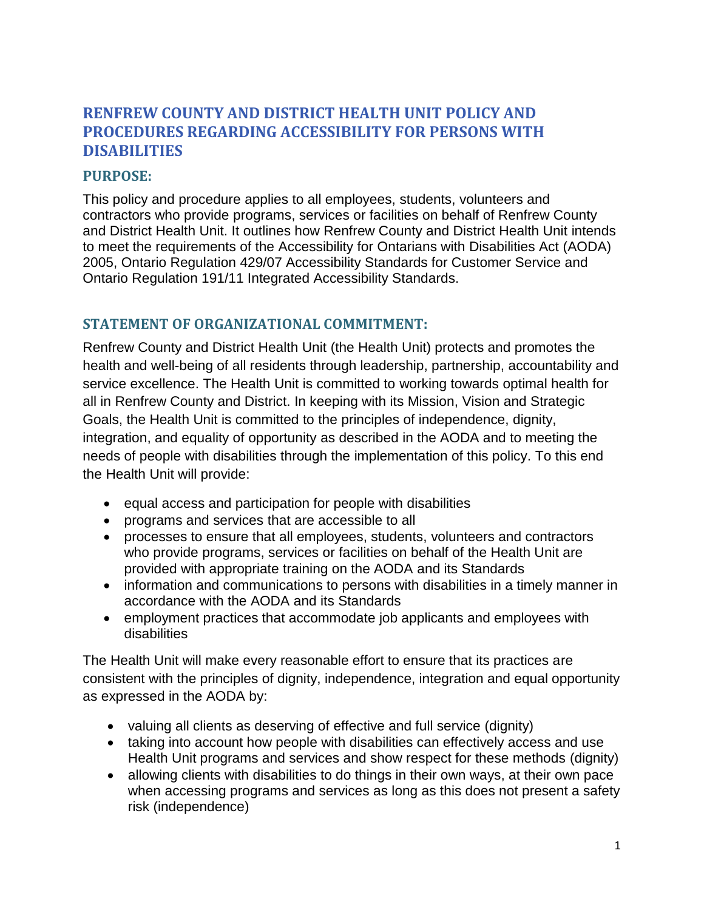# **RENFREW COUNTY AND DISTRICT HEALTH UNIT POLICY AND PROCEDURES REGARDING ACCESSIBILITY FOR PERSONS WITH DISABILITIES**

## **PURPOSE:**

This policy and procedure applies to all employees, students, volunteers and contractors who provide programs, services or facilities on behalf of Renfrew County and District Health Unit. It outlines how Renfrew County and District Health Unit intends to meet the requirements of the Accessibility for Ontarians with Disabilities Act (AODA) 2005, Ontario Regulation 429/07 Accessibility Standards for Customer Service and Ontario Regulation 191/11 Integrated Accessibility Standards.

## **STATEMENT OF ORGANIZATIONAL COMMITMENT:**

Renfrew County and District Health Unit (the Health Unit) protects and promotes the health and well-being of all residents through leadership, partnership, accountability and service excellence. The Health Unit is committed to working towards optimal health for all in Renfrew County and District. In keeping with its Mission, Vision and Strategic Goals, the Health Unit is committed to the principles of independence, dignity, integration, and equality of opportunity as described in the AODA and to meeting the needs of people with disabilities through the implementation of this policy. To this end the Health Unit will provide:

- equal access and participation for people with disabilities
- programs and services that are accessible to all
- processes to ensure that all employees, students, volunteers and contractors who provide programs, services or facilities on behalf of the Health Unit are provided with appropriate training on the AODA and its Standards
- information and communications to persons with disabilities in a timely manner in accordance with the AODA and its Standards
- employment practices that accommodate job applicants and employees with disabilities

The Health Unit will make every reasonable effort to ensure that its practices are consistent with the principles of dignity, independence, integration and equal opportunity as expressed in the AODA by:

- valuing all clients as deserving of effective and full service (dignity)
- taking into account how people with disabilities can effectively access and use Health Unit programs and services and show respect for these methods (dignity)
- allowing clients with disabilities to do things in their own ways, at their own pace when accessing programs and services as long as this does not present a safety risk (independence)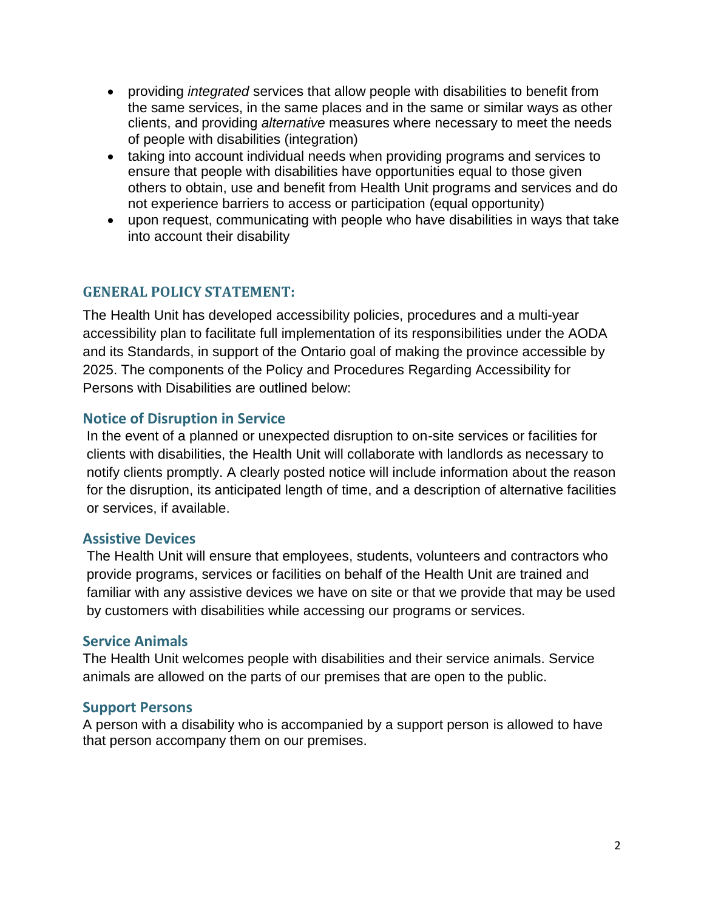- providing *integrated* services that allow people with disabilities to benefit from the same services, in the same places and in the same or similar ways as other clients, and providing *alternative* measures where necessary to meet the needs of people with disabilities (integration)
- taking into account individual needs when providing programs and services to ensure that people with disabilities have opportunities equal to those given others to obtain, use and benefit from Health Unit programs and services and do not experience barriers to access or participation (equal opportunity)
- upon request, communicating with people who have disabilities in ways that take into account their disability

## **GENERAL POLICY STATEMENT:**

The Health Unit has developed accessibility policies, procedures and a multi-year accessibility plan to facilitate full implementation of its responsibilities under the AODA and its Standards, in support of the Ontario goal of making the province accessible by 2025. The components of the Policy and Procedures Regarding Accessibility for Persons with Disabilities are outlined below:

## **Notice of Disruption in Service**

In the event of a planned or unexpected disruption to on-site services or facilities for clients with disabilities, the Health Unit will collaborate with landlords as necessary to notify clients promptly. A clearly posted notice will include information about the reason for the disruption, its anticipated length of time, and a description of alternative facilities or services, if available.

## **Assistive Devices**

The Health Unit will ensure that employees, students, volunteers and contractors who provide programs, services or facilities on behalf of the Health Unit are trained and familiar with any assistive devices we have on site or that we provide that may be used by customers with disabilities while accessing our programs or services.

## **Service Animals**

The Health Unit welcomes people with disabilities and their service animals. Service animals are allowed on the parts of our premises that are open to the public.

## **Support Persons**

A person with a disability who is accompanied by a support person is allowed to have that person accompany them on our premises.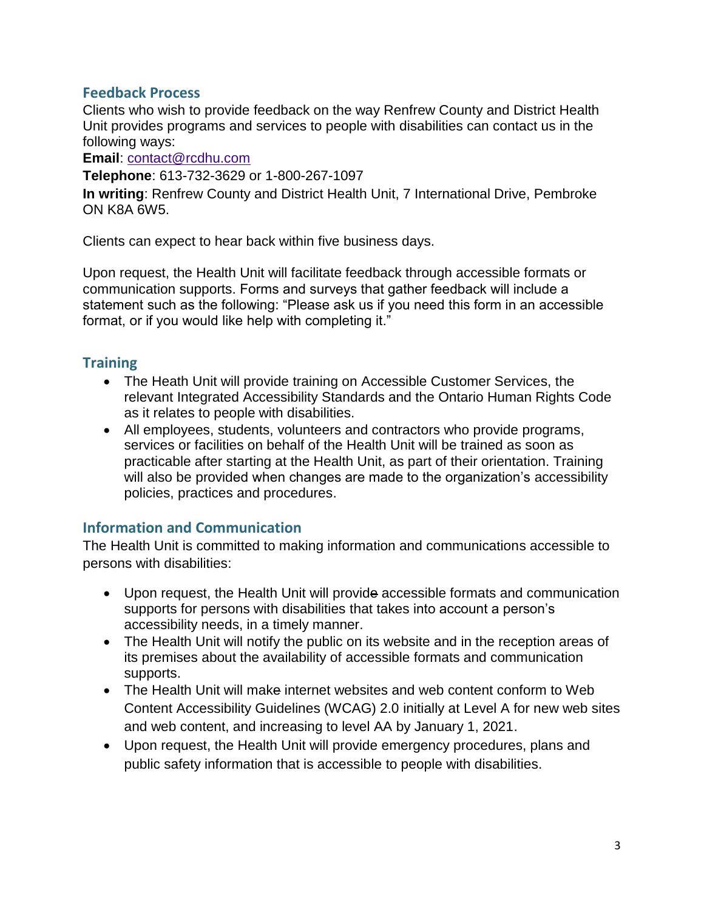## **Feedback Process**

Clients who wish to provide feedback on the way Renfrew County and District Health Unit provides programs and services to people with disabilities can contact us in the following ways:

**Email**: [contact@rcdhu.com](mailto:contact@rcdhu.com)

**Telephone**: 613-732-3629 or 1-800-267-1097

**In writing**: Renfrew County and District Health Unit, 7 International Drive, Pembroke ON K8A 6W5.

Clients can expect to hear back within five business days.

Upon request, the Health Unit will facilitate feedback through accessible formats or communication supports. Forms and surveys that gather feedback will include a statement such as the following: "Please ask us if you need this form in an accessible format, or if you would like help with completing it."

# **Training**

- The Heath Unit will provide training on Accessible Customer Services, the relevant Integrated Accessibility Standards and the Ontario Human Rights Code as it relates to people with disabilities.
- All employees, students, volunteers and contractors who provide programs, services or facilities on behalf of the Health Unit will be trained as soon as practicable after starting at the Health Unit, as part of their orientation. Training will also be provided when changes are made to the organization's accessibility policies, practices and procedures.

## **Information and Communication**

The Health Unit is committed to making information and communications accessible to persons with disabilities:

- Upon request, the Health Unit will provide accessible formats and communication supports for persons with disabilities that takes into account a person's accessibility needs, in a timely manner.
- The Health Unit will notify the public on its website and in the reception areas of its premises about the availability of accessible formats and communication supports.
- The Health Unit will make internet websites and web content conform to Web Content Accessibility Guidelines (WCAG) 2.0 initially at Level A for new web sites and web content, and increasing to level AA by January 1, 2021.
- Upon request, the Health Unit will provide emergency procedures, plans and public safety information that is accessible to people with disabilities.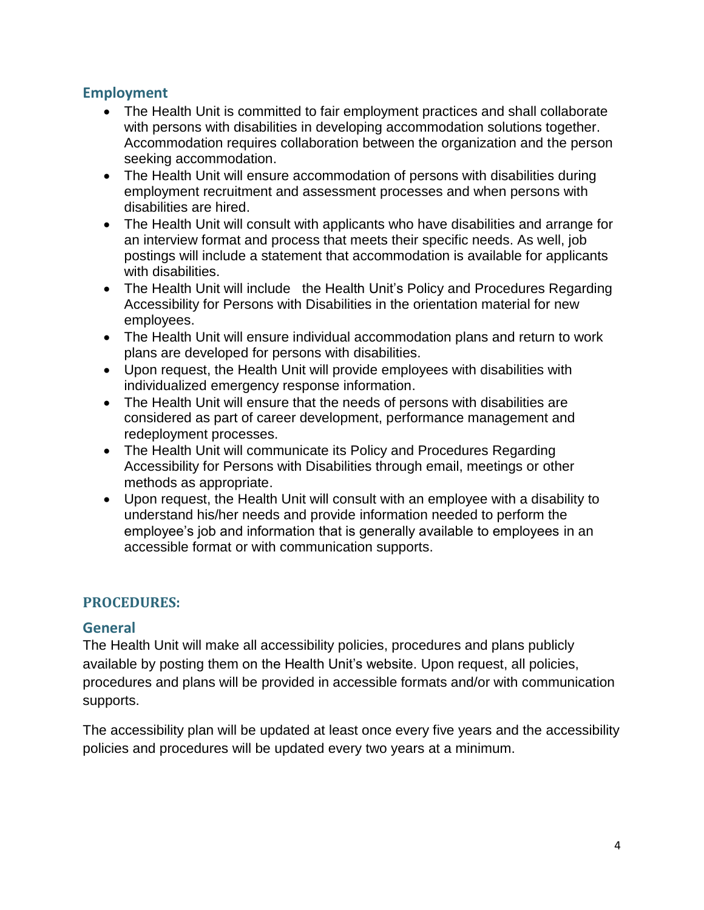## **Employment**

- The Health Unit is committed to fair employment practices and shall collaborate with persons with disabilities in developing accommodation solutions together. Accommodation requires collaboration between the organization and the person seeking accommodation.
- The Health Unit will ensure accommodation of persons with disabilities during employment recruitment and assessment processes and when persons with disabilities are hired.
- The Health Unit will consult with applicants who have disabilities and arrange for an interview format and process that meets their specific needs. As well, job postings will include a statement that accommodation is available for applicants with disabilities.
- The Health Unit will include the Health Unit's Policy and Procedures Regarding Accessibility for Persons with Disabilities in the orientation material for new employees.
- The Health Unit will ensure individual accommodation plans and return to work plans are developed for persons with disabilities.
- Upon request, the Health Unit will provide employees with disabilities with individualized emergency response information.
- The Health Unit will ensure that the needs of persons with disabilities are considered as part of career development, performance management and redeployment processes.
- The Health Unit will communicate its Policy and Procedures Regarding Accessibility for Persons with Disabilities through email, meetings or other methods as appropriate.
- Upon request, the Health Unit will consult with an employee with a disability to understand his/her needs and provide information needed to perform the employee's job and information that is generally available to employees in an accessible format or with communication supports.

## **PROCEDURES:**

## **General**

The Health Unit will make all accessibility policies, procedures and plans publicly available by posting them on the Health Unit's website. Upon request, all policies, procedures and plans will be provided in accessible formats and/or with communication supports.

The accessibility plan will be updated at least once every five years and the accessibility policies and procedures will be updated every two years at a minimum.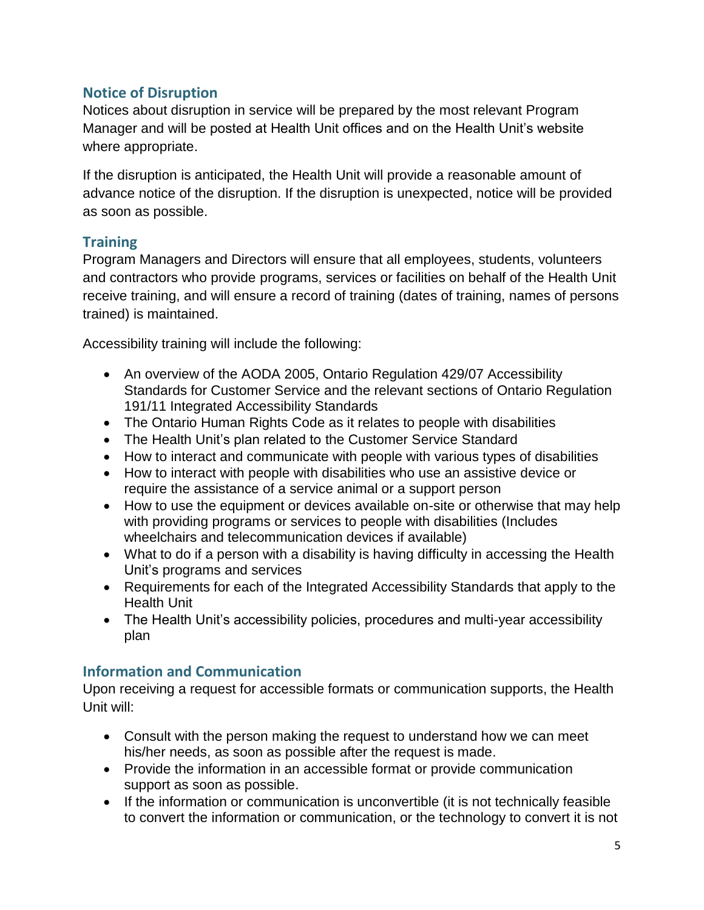# **Notice of Disruption**

Notices about disruption in service will be prepared by the most relevant Program Manager and will be posted at Health Unit offices and on the Health Unit's website where appropriate.

If the disruption is anticipated, the Health Unit will provide a reasonable amount of advance notice of the disruption. If the disruption is unexpected, notice will be provided as soon as possible.

# **Training**

Program Managers and Directors will ensure that all employees, students, volunteers and contractors who provide programs, services or facilities on behalf of the Health Unit receive training, and will ensure a record of training (dates of training, names of persons trained) is maintained.

Accessibility training will include the following:

- An overview of the AODA 2005, Ontario Regulation 429/07 Accessibility Standards for Customer Service and the relevant sections of Ontario Regulation 191/11 Integrated Accessibility Standards
- The Ontario Human Rights Code as it relates to people with disabilities
- The Health Unit's plan related to the Customer Service Standard
- How to interact and communicate with people with various types of disabilities
- How to interact with people with disabilities who use an assistive device or require the assistance of a service animal or a support person
- How to use the equipment or devices available on-site or otherwise that may help with providing programs or services to people with disabilities (Includes wheelchairs and telecommunication devices if available)
- What to do if a person with a disability is having difficulty in accessing the Health Unit's programs and services
- Requirements for each of the Integrated Accessibility Standards that apply to the Health Unit
- The Health Unit's accessibility policies, procedures and multi-year accessibility plan

# **Information and Communication**

Upon receiving a request for accessible formats or communication supports, the Health Unit will:

- Consult with the person making the request to understand how we can meet his/her needs, as soon as possible after the request is made.
- Provide the information in an accessible format or provide communication support as soon as possible.
- If the information or communication is unconvertible (it is not technically feasible to convert the information or communication, or the technology to convert it is not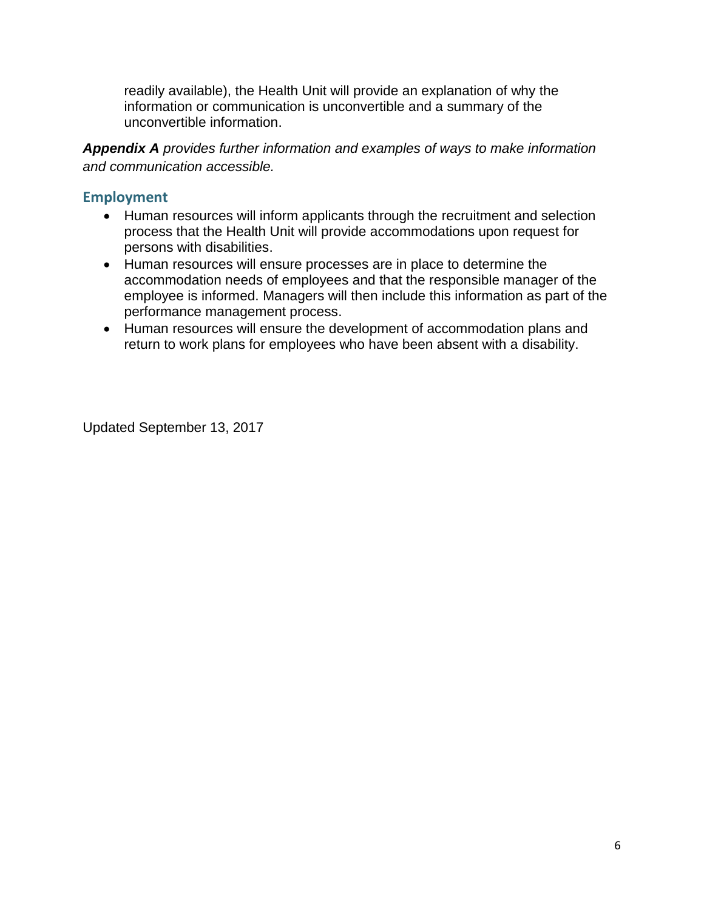readily available), the Health Unit will provide an explanation of why the information or communication is unconvertible and a summary of the unconvertible information.

*Appendix A provides further information and examples of ways to make information and communication accessible.*

## **Employment**

- Human resources will inform applicants through the recruitment and selection process that the Health Unit will provide accommodations upon request for persons with disabilities.
- Human resources will ensure processes are in place to determine the accommodation needs of employees and that the responsible manager of the employee is informed. Managers will then include this information as part of the performance management process.
- Human resources will ensure the development of accommodation plans and return to work plans for employees who have been absent with a disability.

Updated September 13, 2017